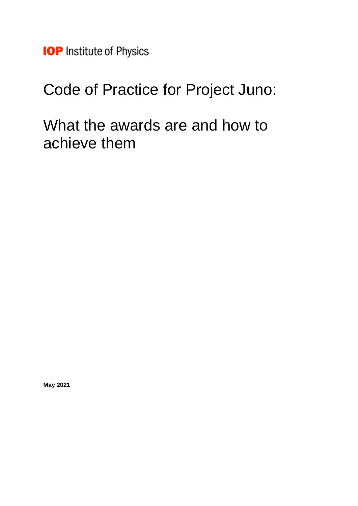**IOP** Institute of Physics

# Code of Practice for Project Juno:

What the awards are and how to achieve them

**May 2021**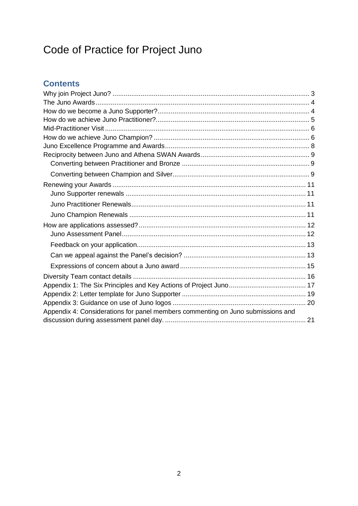# Code of Practice for Project Juno

# **Contents**

| Appendix 4: Considerations for panel members commenting on Juno submissions and |  |
|---------------------------------------------------------------------------------|--|
|                                                                                 |  |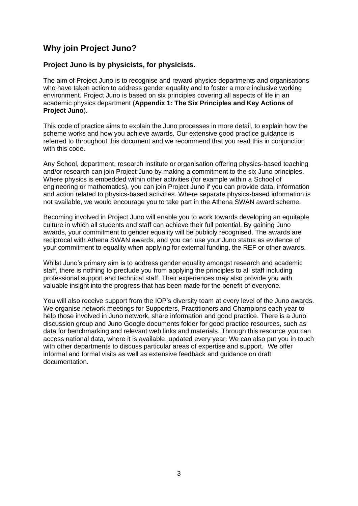# <span id="page-2-0"></span>**Why join Project Juno?**

### **Project Juno is by physicists, for physicists.**

The aim of Project Juno is to recognise and reward physics departments and organisations who have taken action to address gender equality and to foster a more inclusive working environment. Project Juno is based on six principles covering all aspects of life in an academic physics department (**[Appendix 1: The Six Principles and Key Actions of](#page-15-0)  [Project Juno](#page-15-0)**).

This code of practice aims to explain the Juno processes in more detail, to explain how the scheme works and how you achieve awards. Our extensive good practice guidance is referred to throughout this document and we recommend that you read this in conjunction with this code.

Any School, department, research institute or organisation offering physics-based teaching and/or research can join Project Juno by making a commitment to the six Juno principles. Where physics is embedded within other activities (for example within a School of engineering or mathematics), you can join Project Juno if you can provide data, information and action related to physics-based activities. Where separate physics-based information is not available, we would encourage you to take part in the Athena SWAN award scheme.

Becoming involved in Project Juno will enable you to work towards developing an equitable culture in which all students and staff can achieve their full potential. By gaining Juno awards, your commitment to gender equality will be publicly recognised. The awards are reciprocal with Athena SWAN awards, and you can use your Juno status as evidence of your commitment to equality when applying for external funding, the REF or other awards.

Whilst Juno's primary aim is to address gender equality amongst research and academic staff, there is nothing to preclude you from applying the principles to all staff including professional support and technical staff. Their experiences may also provide you with valuable insight into the progress that has been made for the benefit of everyone.

You will also receive support from the IOP's diversity team at every level of the Juno awards. We organise network meetings for Supporters, Practitioners and Champions each year to help those involved in Juno network, share information and good practice. There is a Juno discussion group and Juno Google documents folder for good practice resources, such as data for benchmarking and relevant web links and materials. Through this resource you can access national data, where it is available, updated every year. We can also put you in touch with other departments to discuss particular areas of expertise and support. We offer informal and formal visits as well as extensive feedback and guidance on draft documentation.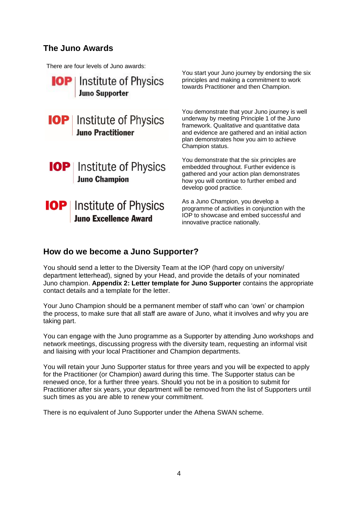### <span id="page-3-0"></span>**The Juno Awards**

There are four levels of Juno awards:



### <span id="page-3-1"></span>**How do we become a Juno Supporter?**

You should send a letter to the Diversity Team at the IOP (hard copy on university/ department letterhead), signed by your Head, and provide the details of your nominated Juno champion. **[Appendix 2: Letter template for Juno](#page-18-0) Supporter** contains the appropriate contact details and a template for the letter.

Your Juno Champion should be a permanent member of staff who can 'own' or champion the process, to make sure that all staff are aware of Juno, what it involves and why you are taking part.

You can engage with the Juno programme as a Supporter by attending Juno workshops and network meetings, discussing progress with the diversity team, requesting an informal visit and liaising with your local Practitioner and Champion departments.

You will retain your Juno Supporter status for three years and you will be expected to apply for the Practitioner (or Champion) award during this time. The Supporter status can be renewed once, for a further three years. Should you not be in a position to submit for Practitioner after six years, your department will be removed from the list of Supporters until such times as you are able to renew your commitment.

There is no equivalent of Juno Supporter under the Athena SWAN scheme.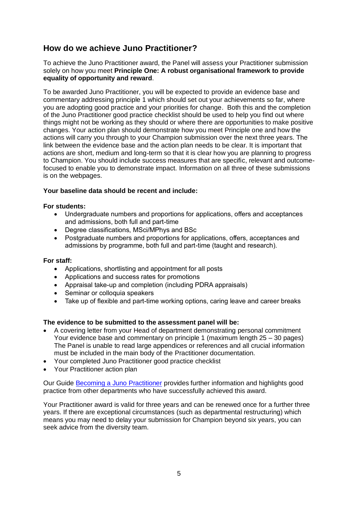# <span id="page-4-0"></span>**How do we achieve Juno Practitioner?**

To achieve the Juno Practitioner award, the Panel will assess your Practitioner submission solely on how you meet **Principle One: A robust organisational framework to provide equality of opportunity and reward**.

To be awarded Juno Practitioner, you will be expected to provide an evidence base and commentary addressing principle 1 which should set out your achievements so far, where you are adopting good practice and your priorities for change. Both this and the completion of the Juno Practitioner good practice checklist should be used to help you find out where things might not be working as they should or where there are opportunities to make positive changes. Your action plan should demonstrate how you meet Principle one and how the actions will carry you through to your Champion submission over the next three years. The link between the evidence base and the action plan needs to be clear. It is important that actions are short, medium and long-term so that it is clear how you are planning to progress to Champion. You should include success measures that are specific, relevant and outcomefocused to enable you to demonstrate impact. Information on all three of these submissions is on the webpages.

### **Your baseline data should be recent and include:**

### **For students:**

- Undergraduate numbers and proportions for applications, offers and acceptances and admissions, both full and part-time
- Degree classifications, MSci/MPhys and BSc
- Postgraduate numbers and proportions for applications, offers, acceptances and admissions by programme, both full and part-time (taught and research).

#### **For staff:**

- Applications, shortlisting and appointment for all posts
- Applications and success rates for promotions
- Appraisal take-up and completion (including PDRA appraisals)
- Seminar or colloquia speakers
- Take up of flexible and part-time working options, caring leave and career breaks

#### **The evidence to be submitted to the assessment panel will be:**

- A covering letter from your Head of department demonstrating personal commitment Your evidence base and commentary on principle 1 (maximum length 25 – 30 pages) The Panel is unable to read large appendices or references and all crucial information must be included in the main body of the Practitioner documentation.
- Your completed Juno Practitioner good practice checklist
- Your Practitioner action plan

Our Guide [Becoming a Juno Practitioner](https://www.iop.org/sites/default/files/2019-11/Becoming-a-Junior-Practitioner-good-practice-guide.pdf) provides further information and highlights good practice from other departments who have successfully achieved this award.

Your Practitioner award is valid for three years and can be renewed once for a further three years. If there are exceptional circumstances (such as departmental restructuring) which means you may need to delay your submission for Champion beyond six years, you can seek advice from the diversity team.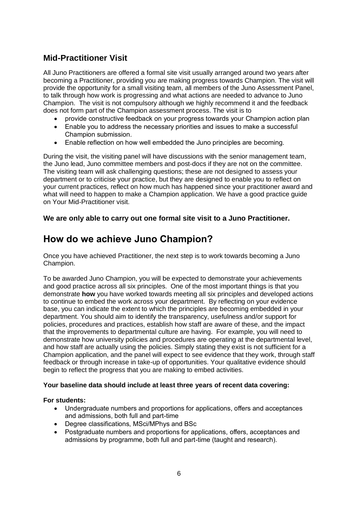# <span id="page-5-0"></span>**Mid-Practitioner Visit**

All Juno Practitioners are offered a formal site visit usually arranged around two years after becoming a Practitioner, providing you are making progress towards Champion. The visit will provide the opportunity for a small visiting team, all members of the Juno Assessment Panel, to talk through how work is progressing and what actions are needed to advance to Juno Champion. The visit is not compulsory although we highly recommend it and the feedback does not form part of the Champion assessment process. The visit is to

- provide constructive feedback on your progress towards your Champion action plan
- Enable you to address the necessary priorities and issues to make a successful Champion submission.
- Enable reflection on how well embedded the Juno principles are becoming.

During the visit, the visiting panel will have discussions with the senior management team, the Juno lead, Juno committee members and post-docs if they are not on the committee. The visiting team will ask challenging questions; these are not designed to assess your department or to criticise your practice, but they are designed to enable you to reflect on your current practices, reflect on how much has happened since your practitioner award and what will need to happen to make a Champion application. We have a good practice guide on Your Mid-Practitioner visit.

### <span id="page-5-1"></span>**We are only able to carry out one formal site visit to a Juno Practitioner.**

# **How do we achieve Juno Champion?**

Once you have achieved Practitioner, the next step is to work towards becoming a Juno Champion.

To be awarded Juno Champion, you will be expected to demonstrate your achievements and good practice across all six principles. One of the most important things is that you demonstrate **how** you have worked towards meeting all six principles and developed actions to continue to embed the work across your department. By reflecting on your evidence base, you can indicate the extent to which the principles are becoming embedded in your department. You should aim to identify the transparency, usefulness and/or support for policies, procedures and practices, establish how staff are aware of these, and the impact that the improvements to departmental culture are having. For example, you will need to demonstrate how university policies and procedures are operating at the departmental level, and how staff are actually using the policies. Simply stating they exist is not sufficient for a Champion application, and the panel will expect to see evidence that they work, through staff feedback or through increase in take-up of opportunities. Your qualitative evidence should begin to reflect the progress that you are making to embed activities.

#### **Your baseline data should include at least three years of recent data covering:**

#### **For students:**

- Undergraduate numbers and proportions for applications, offers and acceptances and admissions, both full and part-time
- Degree classifications, MSci/MPhys and BSc
- Postgraduate numbers and proportions for applications, offers, acceptances and admissions by programme, both full and part-time (taught and research).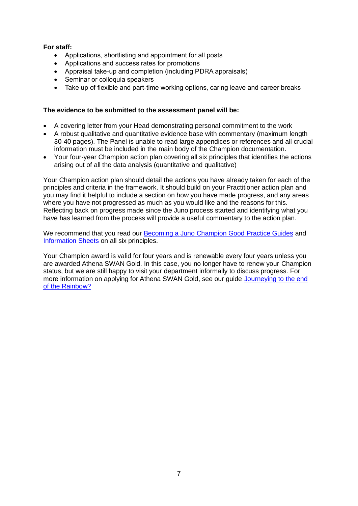### **For staff:**

- Applications, shortlisting and appointment for all posts
- Applications and success rates for promotions
- Appraisal take-up and completion (including PDRA appraisals)
- Seminar or colloquia speakers
- Take up of flexible and part-time working options, caring leave and career breaks

### **The evidence to be submitted to the assessment panel will be:**

- A covering letter from your Head demonstrating personal commitment to the work
- A robust qualitative and quantitative evidence base with commentary (maximum length 30-40 pages). The Panel is unable to read large appendices or references and all crucial information must be included in the main body of the Champion documentation.
- Your four-year Champion action plan covering all six principles that identifies the actions arising out of all the data analysis (quantitative and qualitative)

Your Champion action plan should detail the actions you have already taken for each of the principles and criteria in the framework. It should build on your Practitioner action plan and you may find it helpful to include a section on how you have made progress, and any areas where you have not progressed as much as you would like and the reasons for this. Reflecting back on progress made since the Juno process started and identifying what you have has learned from the process will provide a useful commentary to the action plan.

We recommend that you read our **Becoming a Juno Champion Good Practice Guides** and [Information Sheets](https://www.iop.org/sites/default/files/2019-11/juno-principles.pdf) on all six principles.

Your Champion award is valid for four years and is renewable every four years unless you are awarded Athena SWAN Gold. In this case, you no longer have to renew your Champion status, but we are still happy to visit your department informally to discuss progress. For more information on applying for Athena SWAN Gold, see our guide Journeying to the end [of the Rainbow?](https://www.iop.org/sites/default/files/2019-11/Journeying-to-the-end-of-the-rainbow.pdf)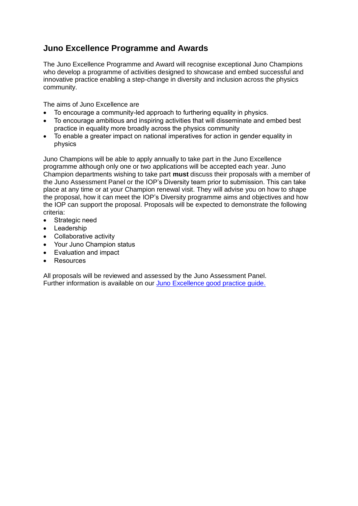# <span id="page-7-0"></span>**Juno Excellence Programme and Awards**

The Juno Excellence Programme and Award will recognise exceptional Juno Champions who develop a programme of activities designed to showcase and embed successful and innovative practice enabling a step-change in diversity and inclusion across the physics community.

The aims of Juno Excellence are

- To encourage a community-led approach to furthering equality in physics.
- To encourage ambitious and inspiring activities that will disseminate and embed best practice in equality more broadly across the physics community
- To enable a greater impact on national imperatives for action in gender equality in physics

Juno Champions will be able to apply annually to take part in the Juno Excellence programme although only one or two applications will be accepted each year. Juno Champion departments wishing to take part **must** discuss their proposals with a member of the Juno Assessment Panel or the IOP's Diversity team prior to submission. This can take place at any time or at your Champion renewal visit. They will advise you on how to shape the proposal, how it can meet the IOP's Diversity programme aims and objectives and how the IOP can support the proposal. Proposals will be expected to demonstrate the following criteria:

- Strategic need
- Leadership
- Collaborative activity
- Your Juno Champion status
- Evaluation and impact
- Resources

All proposals will be reviewed and assessed by the Juno Assessment Panel. Further information is available on our [Juno Excellence good practice guide.](https://www.iop.org/sites/default/files/2019-11/juno-excellence-programme-and-award.pdf)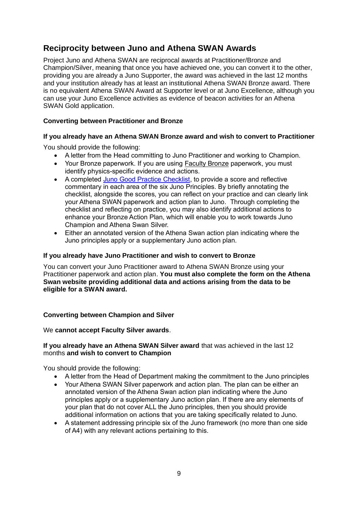# <span id="page-8-0"></span>**Reciprocity between Juno and Athena SWAN Awards**

Project Juno and Athena SWAN are reciprocal awards at Practitioner/Bronze and Champion/Silver, meaning that once you have achieved one, you can convert it to the other, providing you are already a Juno Supporter, the award was achieved in the last 12 months and your institution already has at least an institutional Athena SWAN Bronze award. There is no equivalent Athena SWAN Award at Supporter level or at Juno Excellence, although you can use your Juno Excellence activities as evidence of beacon activities for an Athena SWAN Gold application.

### <span id="page-8-1"></span>**Converting between Practitioner and Bronze**

### **If you already have an Athena SWAN Bronze award and wish to convert to Practitioner**

You should provide the following:

- A letter from the Head committing to Juno Practitioner and working to Champion.
- Your Bronze paperwork. If you are using Faculty Bronze paperwork, you must identify physics-specific evidence and actions.
- A completed [Juno Good Practice Checklist,](https://www.iop.org/sites/default/files/2019-11/Juno-good-practice-checklist.doc) to provide a score and reflective commentary in each area of the six Juno Principles. By briefly annotating the checklist, alongside the scores, you can reflect on your practice and can clearly link your Athena SWAN paperwork and action plan to Juno. Through completing the checklist and reflecting on practice, you may also identify additional actions to enhance your Bronze Action Plan, which will enable you to work towards Juno Champion and Athena Swan Silver.
- Either an annotated version of the Athena Swan action plan indicating where the Juno principles apply or a supplementary Juno action plan.

### **If you already have Juno Practitioner and wish to convert to Bronze**

You can convert your Juno Practitioner award to Athena SWAN Bronze using your Practitioner paperwork and action plan. **You must also complete the form on the Athena Swan website providing additional data and actions arising from the data to be eligible for a SWAN award.**

#### <span id="page-8-2"></span>**Converting between Champion and Silver**

We **cannot accept Faculty Silver awards**.

#### **If you already have an Athena SWAN Silver award** that was achieved in the last 12 months **and wish to convert to Champion**

You should provide the following:

- A letter from the Head of Department making the commitment to the Juno principles
- Your Athena SWAN Silver paperwork and action plan. The plan can be either an annotated version of the Athena Swan action plan indicating where the Juno principles apply or a supplementary Juno action plan. If there are any elements of your plan that do not cover ALL the Juno principles, then you should provide additional information on actions that you are taking specifically related to Juno.
- A statement addressing principle six of the Juno framework (no more than one side of A4) with any relevant actions pertaining to this.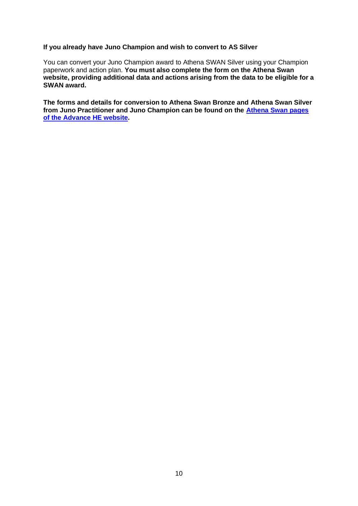#### **If you already have Juno Champion and wish to convert to AS Silver**

You can convert your Juno Champion award to Athena SWAN Silver using your Champion paperwork and action plan. **You must also complete the form on the Athena Swan website, providing additional data and actions arising from the data to be eligible for a SWAN award.**

**The forms and details for conversion to Athena Swan Bronze and Athena Swan Silver from Juno Practitioner and Juno Champion can be found on the [Athena Swan pages](https://www.advance-he.ac.uk/knowledge-hub/athena-swan-juno-applications)  [of the Advance HE](https://www.advance-he.ac.uk/knowledge-hub/athena-swan-juno-applications) website.**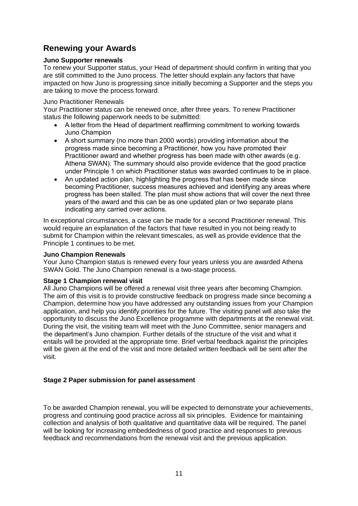# <span id="page-10-0"></span>**Renewing your Awards**

### <span id="page-10-1"></span>**Juno Supporter renewals**

To renew your Supporter status, your Head of department should confirm in writing that you are still committed to the Juno process. The letter should explain any factors that have impacted on how Juno is progressing since initially becoming a Supporter and the steps you are taking to move the process forward.

#### <span id="page-10-2"></span>Juno Practitioner Renewals

Your Practitioner status can be renewed once, after three years. To renew Practitioner status the following paperwork needs to be submitted:

- A letter from the Head of department reaffirming commitment to working towards Juno Champion
- A short summary (no more than 2000 words) providing information about the progress made since becoming a Practitioner, how you have promoted their Practitioner award and whether progress has been made with other awards (e.g. Athena SWAN). The summary should also provide evidence that the good practice under Principle 1 on which Practitioner status was awarded continues to be in place.
- An updated action plan, highlighting the progress that has been made since becoming Practitioner, success measures achieved and identifying any areas where progress has been stalled. The plan must show actions that will cover the next three years of the award and this can be as one updated plan or two separate plans indicating any carried over actions.

In exceptional circumstances, a case can be made for a second Practitioner renewal. This would require an explanation of the factors that have resulted in you not being ready to submit for Champion within the relevant timescales, as well as provide evidence that the Principle 1 continues to be met.

#### <span id="page-10-3"></span>**Juno Champion Renewals**

Your Juno Champion status is renewed every four years unless you are awarded Athena SWAN Gold. The Juno Champion renewal is a two-stage process.

#### **Stage 1 Champion renewal visit**

All Juno Champions will be offered a renewal visit three years after becoming Champion. The aim of this visit is to provide constructive feedback on progress made since becoming a Champion, determine how you have addressed any outstanding issues from your Champion application, and help you identify priorities for the future. The visiting panel will also take the opportunity to discuss the Juno Excellence programme with departments at the renewal visit. During the visit, the visiting team will meet with the Juno Committee, senior managers and the department's Juno champion. Further details of the structure of the visit and what it entails will be provided at the appropriate time. Brief verbal feedback against the principles will be given at the end of the visit and more detailed written feedback will be sent after the visit.

#### **Stage 2 Paper submission for panel assessment**

To be awarded Champion renewal, you will be expected to demonstrate your achievements, progress and continuing good practice across all six principles. Evidence for maintaining collection and analysis of both qualitative and quantitative data will be required. The panel will be looking for increasing embeddedness of good practice and responses to previous feedback and recommendations from the renewal visit and the previous application.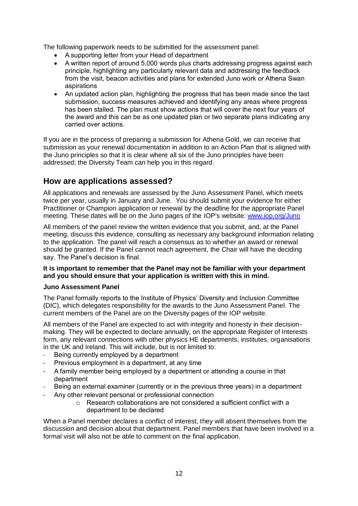The following paperwork needs to be submitted for the assessment panel:

- A supporting letter from your Head of department
- A written report of around 5,000 words plus charts addressing progress against each principle, highlighting any particularly relevant data and addressing the feedback from the visit, beacon activities and plans for extended Juno work or Athena Swan aspirations
- An updated action plan, highlighting the progress that has been made since the last submission, success measures achieved and identifying any areas where progress has been stalled. The plan must show actions that will cover the next four years of the award and this can be as one updated plan or two separate plans indicating any carried over actions.

If you are in the process of preparing a submission for Athena Gold, we can receive that submission as your renewal documentation in addition to an Action Plan that is aligned with the Juno principles so that it is clear where all six of the Juno principles have been addressed; the Diversity Team can help you in this regard.

### <span id="page-11-0"></span>**How are applications assessed?**

All applications and renewals are assessed by the Juno Assessment Panel, which meets twice per year, usually in January and June. You should submit your evidence for either Practitioner or Champion application or renewal by the deadline for the appropriate Panel meeting. These dates will be on the Juno pages of the IOP's website: [www.iop.org/Juno](http://www.iop.org/diversity)

All members of the panel review the written evidence that you submit, and, at the Panel meeting, discuss this evidence, consulting as necessary any background information relating to the application. The panel will reach a consensus as to whether an award or renewal should be granted. If the Panel cannot reach agreement, the Chair will have the deciding say. The Panel's decision is final.

#### **It is important to remember that the Panel may not be familiar with your department and you should ensure that your application is written with this in mind.**

#### <span id="page-11-1"></span>**Juno Assessment Panel**

The Panel formally reports to the Institute of Physics' Diversity and Inclusion Committee (DIC), which delegates responsibility for the awards to the Juno Assessment Panel. The current members of the Panel are on the Diversity pages of the IOP website.

All members of the Panel are expected to act with integrity and honesty in their decisionmaking. They will be expected to declare annually, on the appropriate Register of Interests form, any relevant connections with other physics HE departments, institutes, organisations in the UK and Ireland. This will include, but is not limited to:

- Being currently employed by a department
- Previous employment in a department, at any time
- A family member being employed by a department or attending a course in that department
- Being an external examiner (currently or in the previous three years) in a department
- Any other relevant personal or professional connection
	- o Research collaborations are not considered a sufficient conflict with a department to be declared

When a Panel member declares a conflict of interest, they will absent themselves from the discussion and decision about that department. Panel members that have been involved in a formal visit will also not be able to comment on the final application.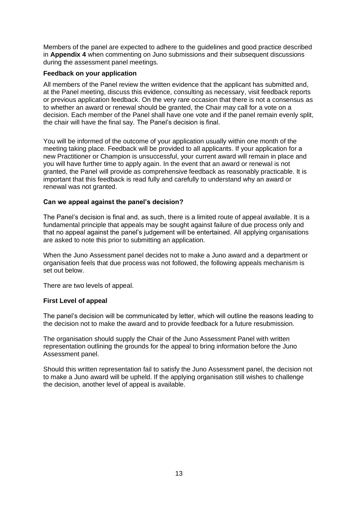Members of the panel are expected to adhere to the guidelines and good practice described in **Appendix 4** when commenting on Juno submissions and their subsequent discussions during the assessment panel meetings.

#### <span id="page-12-0"></span>**Feedback on your application**

All members of the Panel review the written evidence that the applicant has submitted and, at the Panel meeting, discuss this evidence, consulting as necessary, visit feedback reports or previous application feedback. On the very rare occasion that there is not a consensus as to whether an award or renewal should be granted, the Chair may call for a vote on a decision. Each member of the Panel shall have one vote and if the panel remain evenly split, the chair will have the final say. The Panel's decision is final.

You will be informed of the outcome of your application usually within one month of the meeting taking place. Feedback will be provided to all applicants. If your application for a new Practitioner or Champion is unsuccessful, your current award will remain in place and you will have further time to apply again. In the event that an award or renewal is not granted, the Panel will provide as comprehensive feedback as reasonably practicable. It is important that this feedback is read fully and carefully to understand why an award or renewal was not granted.

#### <span id="page-12-1"></span>**Can we appeal against the panel's decision?**

The Panel's decision is final and, as such, there is a limited route of appeal available. It is a fundamental principle that appeals may be sought against failure of due process only and that no appeal against the panel's judgement will be entertained. All applying organisations are asked to note this prior to submitting an application.

When the Juno Assessment panel decides not to make a Juno award and a department or organisation feels that due process was not followed, the following appeals mechanism is set out below.

There are two levels of appeal.

#### **First Level of appeal**

The panel's decision will be communicated by letter, which will outline the reasons leading to the decision not to make the award and to provide feedback for a future resubmission.

The organisation should supply the Chair of the Juno Assessment Panel with written representation outlining the grounds for the appeal to bring information before the Juno Assessment panel.

Should this written representation fail to satisfy the Juno Assessment panel, the decision not to make a Juno award will be upheld. If the applying organisation still wishes to challenge the decision, another level of appeal is available.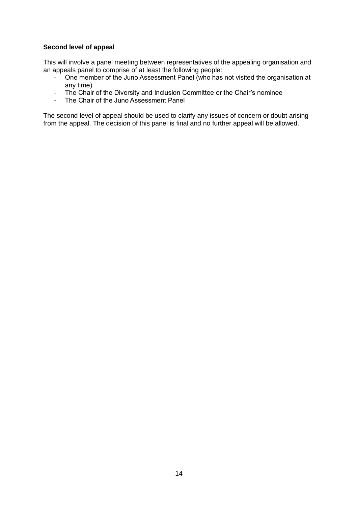### **Second level of appeal**

This will involve a panel meeting between representatives of the appealing organisation and an appeals panel to comprise of at least the following people:

- One member of the Juno Assessment Panel (who has not visited the organisation at any time)
- The Chair of the Diversity and Inclusion Committee or the Chair's nominee
- The Chair of the Juno Assessment Panel

The second level of appeal should be used to clarify any issues of concern or doubt arising from the appeal. The decision of this panel is final and no further appeal will be allowed.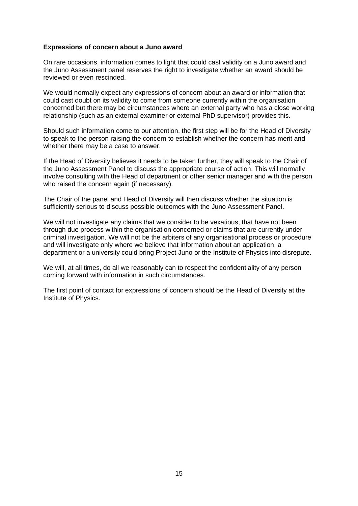#### <span id="page-14-0"></span>**Expressions of concern about a Juno award**

On rare occasions, information comes to light that could cast validity on a Juno award and the Juno Assessment panel reserves the right to investigate whether an award should be reviewed or even rescinded.

We would normally expect any expressions of concern about an award or information that could cast doubt on its validity to come from someone currently within the organisation concerned but there may be circumstances where an external party who has a close working relationship (such as an external examiner or external PhD supervisor) provides this.

Should such information come to our attention, the first step will be for the Head of Diversity to speak to the person raising the concern to establish whether the concern has merit and whether there may be a case to answer.

If the Head of Diversity believes it needs to be taken further, they will speak to the Chair of the Juno Assessment Panel to discuss the appropriate course of action. This will normally involve consulting with the Head of department or other senior manager and with the person who raised the concern again (if necessary).

The Chair of the panel and Head of Diversity will then discuss whether the situation is sufficiently serious to discuss possible outcomes with the Juno Assessment Panel.

We will not investigate any claims that we consider to be vexatious, that have not been through due process within the organisation concerned or claims that are currently under criminal investigation. We will not be the arbiters of any organisational process or procedure and will investigate only where we believe that information about an application, a department or a university could bring Project Juno or the Institute of Physics into disrepute.

We will, at all times, do all we reasonably can to respect the confidentiality of any person coming forward with information in such circumstances.

The first point of contact for expressions of concern should be the Head of Diversity at the Institute of Physics.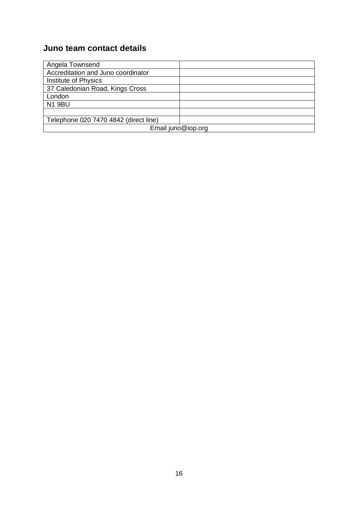# <span id="page-15-0"></span>**Juno team contact details**

| Angela Townsend                       |  |  |
|---------------------------------------|--|--|
| Accreditation and Juno coordinator    |  |  |
| Institute of Physics                  |  |  |
| 37 Caledonian Road, Kings Cross       |  |  |
| London                                |  |  |
| <b>N1 9BU</b>                         |  |  |
|                                       |  |  |
| Telephone 020 7470 4842 (direct line) |  |  |
| Email juno@iop.org                    |  |  |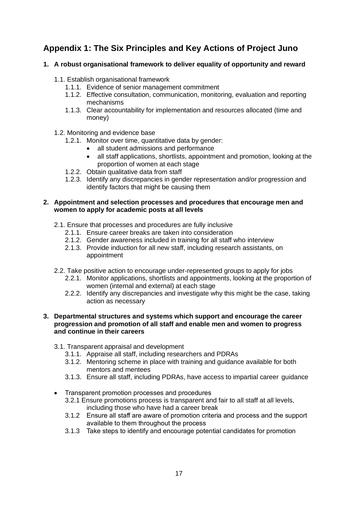# <span id="page-16-0"></span>**Appendix 1: The Six Principles and Key Actions of Project Juno**

### **1. A robust organisational framework to deliver equality of opportunity and reward**

- 1.1. Establish organisational framework
	- 1.1.1. Evidence of senior management commitment
	- 1.1.2. Effective consultation, communication, monitoring, evaluation and reporting mechanisms
	- 1.1.3. Clear accountability for implementation and resources allocated (time and money)
- 1.2. Monitoring and evidence base
	- 1.2.1. Monitor over time, quantitative data by gender:
		- all student admissions and performance
		- all staff applications, shortlists, appointment and promotion, looking at the proportion of women at each stage
	- 1.2.2. Obtain qualitative data from staff
	- 1.2.3. Identify any discrepancies in gender representation and/or progression and identify factors that might be causing them

#### **2. Appointment and selection processes and procedures that encourage men and women to apply for academic posts at all levels**

- 2.1. Ensure that processes and procedures are fully inclusive
	- 2.1.1. Ensure career breaks are taken into consideration
	- 2.1.2. Gender awareness included in training for all staff who interview
	- 2.1.3. Provide induction for all new staff, including research assistants, on appointment
- 2.2. Take positive action to encourage under-represented groups to apply for jobs
	- 2.2.1. Monitor applications, shortlists and appointments, looking at the proportion of women (internal and external) at each stage
	- 2.2.2. Identify any discrepancies and investigate why this might be the case, taking action as necessary

#### **3. Departmental structures and systems which support and encourage the career progression and promotion of all staff and enable men and women to progress and continue in their careers**

- 3.1. Transparent appraisal and development
	- 3.1.1. Appraise all staff, including researchers and PDRAs
	- 3.1.2. Mentoring scheme in place with training and guidance available for both mentors and mentees
	- 3.1.3. Ensure all staff, including PDRAs, have access to impartial career guidance
- Transparent promotion processes and procedures
	- 3.2.1 Ensure promotions process is transparent and fair to all staff at all levels, including those who have had a career break
	- 3.1.2 Ensure all staff are aware of promotion criteria and process and the support available to them throughout the process
	- 3.1.3 Take steps to identify and encourage potential candidates for promotion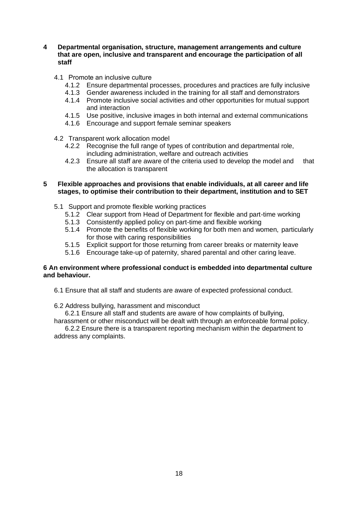**4 Departmental organisation, structure, management arrangements and culture that are open, inclusive and transparent and encourage the participation of all staff**

#### 4.1 Promote an inclusive culture

- 4.1.2 Ensure departmental processes, procedures and practices are fully inclusive
- 4.1.3 Gender awareness included in the training for all staff and demonstrators
- 4.1.4 Promote inclusive social activities and other opportunities for mutual support and interaction
- 4.1.5 Use positive, inclusive images in both internal and external communications
- 4.1.6 Encourage and support female seminar speakers
- 4.2 Transparent work allocation model
	- 4.2.2 Recognise the full range of types of contribution and departmental role, including administration, welfare and outreach activities
	- 4.2.3 Ensure all staff are aware of the criteria used to develop the model and that the allocation is transparent

#### **5 Flexible approaches and provisions that enable individuals, at all career and life stages, to optimise their contribution to their department, institution and to SET**

- 5.1 Support and promote flexible working practices
	- 5.1.2 Clear support from Head of Department for flexible and part-time working
	- 5.1.3 Consistently applied policy on part-time and flexible working
	- 5.1.4 Promote the benefits of flexible working for both men and women, particularly for those with caring responsibilities
	- 5.1.5 Explicit support for those returning from career breaks or maternity leave
	- 5.1.6 Encourage take-up of paternity, shared parental and other caring leave.

#### **6 An environment where professional conduct is embedded into departmental culture and behaviour.**

- 6.1 Ensure that all staff and students are aware of expected professional conduct.
- 6.2 Address bullying, harassment and misconduct

6.2.1 Ensure all staff and students are aware of how complaints of bullying, harassment or other misconduct will be dealt with through an enforceable formal policy.

6.2.2 Ensure there is a transparent reporting mechanism within the department to address any complaints.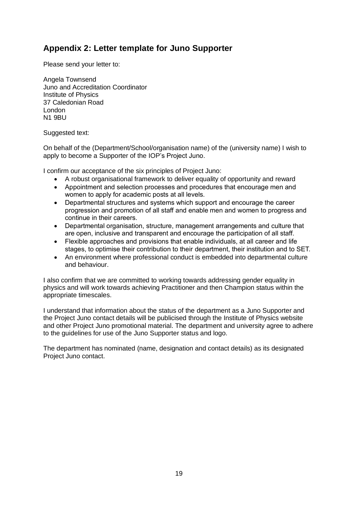# <span id="page-18-0"></span>**Appendix 2: Letter template for Juno Supporter**

Please send your letter to:

Angela Townsend Juno and Accreditation Coordinator Institute of Physics 37 Caledonian Road London N1 9BU

Suggested text:

On behalf of the (Department/School/organisation name) of the (university name) I wish to apply to become a Supporter of the IOP's Project Juno.

I confirm our acceptance of the six principles of Project Juno:

- A robust organisational framework to deliver equality of opportunity and reward
- Appointment and selection processes and procedures that encourage men and women to apply for academic posts at all levels.
- Departmental structures and systems which support and encourage the career progression and promotion of all staff and enable men and women to progress and continue in their careers.
- Departmental organisation, structure, management arrangements and culture that are open, inclusive and transparent and encourage the participation of all staff.
- Flexible approaches and provisions that enable individuals, at all career and life stages, to optimise their contribution to their department, their institution and to SET.
- An environment where professional conduct is embedded into departmental culture and behaviour.

I also confirm that we are committed to working towards addressing gender equality in physics and will work towards achieving Practitioner and then Champion status within the appropriate timescales.

I understand that information about the status of the department as a Juno Supporter and the Project Juno contact details will be publicised through the Institute of Physics website and other Project Juno promotional material. The department and university agree to adhere to the guidelines for use of the Juno Supporter status and logo.

The department has nominated (name, designation and contact details) as its designated Project Juno contact.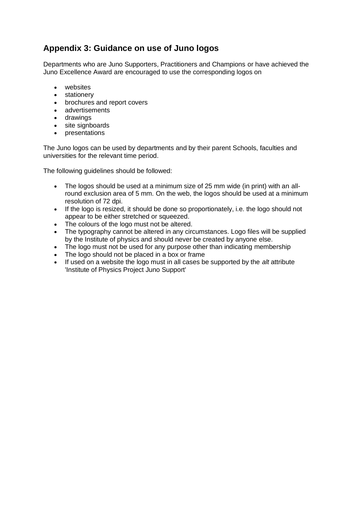# <span id="page-19-0"></span>**Appendix 3: Guidance on use of Juno logos**

Departments who are Juno Supporters, Practitioners and Champions or have achieved the Juno Excellence Award are encouraged to use the corresponding logos on

- websites
- stationery
- brochures and report covers
- advertisements
- drawings
- site signboards
- presentations

The Juno logos can be used by departments and by their parent Schools, faculties and universities for the relevant time period.

The following guidelines should be followed:

- The logos should be used at a minimum size of 25 mm wide (in print) with an allround exclusion area of 5 mm. On the web, the logos should be used at a minimum resolution of 72 dpi.
- If the logo is resized, it should be done so proportionately, i.e. the logo should not appear to be either stretched or squeezed.
- The colours of the logo must not be altered.
- The typography cannot be altered in any circumstances. Logo files will be supplied by the Institute of physics and should never be created by anyone else.
- The logo must not be used for any purpose other than indicating membership
- The logo should not be placed in a box or frame
- If used on a website the logo must in all cases be supported by the *alt* attribute 'Institute of Physics Project Juno Support'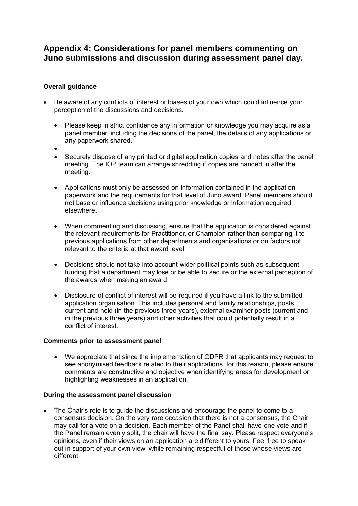### <span id="page-20-0"></span>**Appendix 4: Considerations for panel members commenting on Juno submissions and discussion during assessment panel day.**

### **Overall guidance**

- Be aware of any conflicts of interest or biases of your own which could influence your perception of the discussions and decisions.
	- Please keep in strict confidence any information or knowledge you may acquire as a panel member, including the decisions of the panel, the details of any applications or any paperwork shared.
	- •
	- Securely dispose of any printed or digital application copies and notes after the panel meeting. The IOP team can arrange shredding if copies are handed in after the meeting.
	- Applications must only be assessed on information contained in the application paperwork and the requirements for that level of Juno award. Panel members should not base or influence decisions using prior knowledge or information acquired elsewhere.
	- When commenting and discussing, ensure that the application is considered against the relevant requirements for Practitioner, or Champion rather than comparing it to previous applications from other departments and organisations or on factors not relevant to the criteria at that award level.
	- Decisions should not take into account wider political points such as subsequent funding that a department may lose or be able to secure or the external perception of the awards when making an award.
	- Disclosure of conflict of interest will be required if you have a link to the submitted application organisation. This includes personal and family relationships, posts current and held (in the previous three years), external examiner posts (current and in the previous three years) and other activities that could potentially result in a conflict of interest.

#### **Comments prior to assessment panel**

• We appreciate that since the implementation of GDPR that applicants may request to see anonymised feedback related to their applications, for this reason, please ensure comments are constructive and objective when identifying areas for development or highlighting weaknesses in an application.

#### **During the assessment panel discussion**

• The Chair's role is to guide the discussions and encourage the panel to come to a consensus decision. On the very rare occasion that there is not a consensus, the Chair may call for a vote on a decision. Each member of the Panel shall have one vote and if the Panel remain evenly split, the chair will have the final say. Please respect everyone's opinions, even if their views on an application are different to yours. Feel free to speak out in support of your own view, while remaining respectful of those whose views are different.